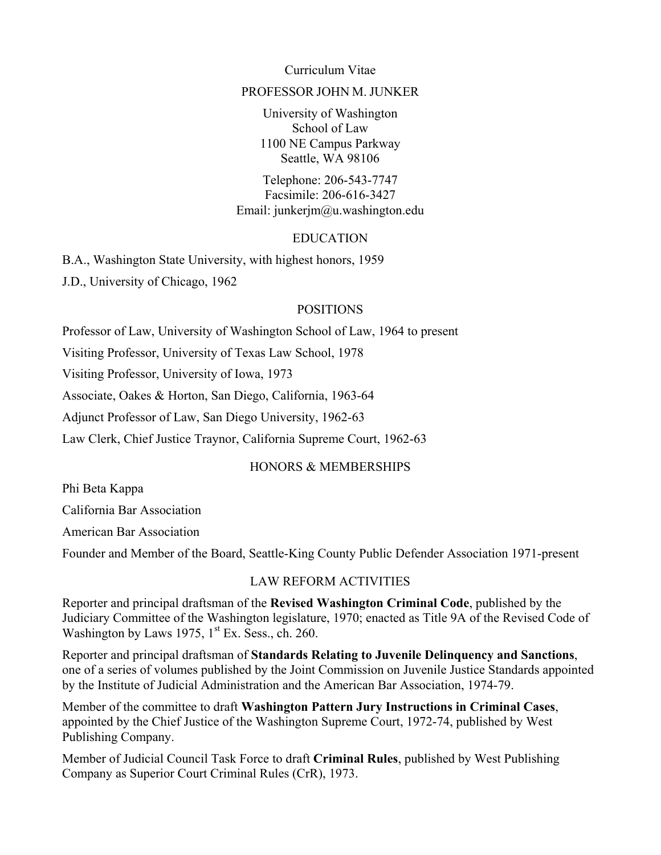Curriculum Vitae

### PROFESSOR JOHN M. JUNKER

University of Washington School of Law 1100 NE Campus Parkway Seattle, WA 98106

Telephone: 206-543-7747 Facsimile: 206-616-3427 Email: junkerjm@u.washington.edu

## EDUCATION

B.A., Washington State University, with highest honors, 1959

J.D., University of Chicago, 1962

### POSITIONS

Professor of Law, University of Washington School of Law, 1964 to present

Visiting Professor, University of Texas Law School, 1978

Visiting Professor, University of Iowa, 1973

Associate, Oakes & Horton, San Diego, California, 1963-64

Adjunct Professor of Law, San Diego University, 1962-63

Law Clerk, Chief Justice Traynor, California Supreme Court, 1962-63

## HONORS & MEMBERSHIPS

Phi Beta Kappa California Bar Association American Bar Association Founder and Member of the Board, Seattle-King County Public Defender Association 1971-present

### LAW REFORM ACTIVITIES

Reporter and principal draftsman of the **Revised Washington Criminal Code**, published by the Judiciary Committee of the Washington legislature, 1970; enacted as Title 9A of the Revised Code of Washington by Laws 1975,  $1<sup>st</sup>$  Ex. Sess., ch. 260.

Reporter and principal draftsman of **Standards Relating to Juvenile Delinquency and Sanctions**, one of a series of volumes published by the Joint Commission on Juvenile Justice Standards appointed by the Institute of Judicial Administration and the American Bar Association, 1974-79.

Member of the committee to draft **Washington Pattern Jury Instructions in Criminal Cases**, appointed by the Chief Justice of the Washington Supreme Court, 1972-74, published by West Publishing Company.

Member of Judicial Council Task Force to draft **Criminal Rules**, published by West Publishing Company as Superior Court Criminal Rules (CrR), 1973.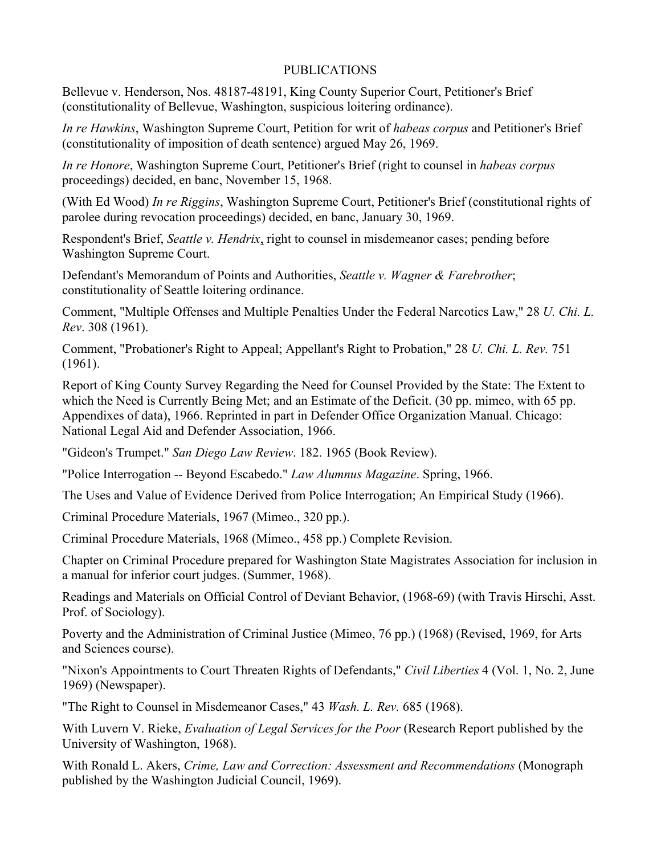## PUBLICATIONS

Bellevue v. Henderson, Nos. 48187-48191, King County Superior Court, Petitioner's Brief (constitutionality of Bellevue, Washington, suspicious loitering ordinance).

*In re Hawkins*, Washington Supreme Court, Petition for writ of *habeas corpus* and Petitioner's Brief (constitutionality of imposition of death sentence) argued May 26, 1969.

*In re Honore*, Washington Supreme Court, Petitioner's Brief (right to counsel in *habeas corpus* proceedings) decided, en banc, November 15, 1968.

(With Ed Wood) *In re Riggins*, Washington Supreme Court, Petitioner's Brief (constitutional rights of parolee during revocation proceedings) decided, en banc, January 30, 1969.

Respondent's Brief, *Seattle v. Hendrix*, right to counsel in misdemeanor cases; pending before Washington Supreme Court.

Defendant's Memorandum of Points and Authorities, *Seattle v. Wagner & Farebrother*; constitutionality of Seattle loitering ordinance.

Comment, "Multiple Offenses and Multiple Penalties Under the Federal Narcotics Law," 28 *U. Chi. L. Rev*. 308 (1961).

Comment, "Probationer's Right to Appeal; Appellant's Right to Probation," 28 *U. Chi. L. Rev.* 751 (1961).

Report of King County Survey Regarding the Need for Counsel Provided by the State: The Extent to which the Need is Currently Being Met; and an Estimate of the Deficit. (30 pp. mimeo, with 65 pp. Appendixes of data), 1966. Reprinted in part in Defender Office Organization Manual. Chicago: National Legal Aid and Defender Association, 1966.

"Gideon's Trumpet." *San Diego Law Review*. 182. 1965 (Book Review).

"Police Interrogation -- Beyond Escabedo." *Law Alumnus Magazine*. Spring, 1966.

The Uses and Value of Evidence Derived from Police Interrogation; An Empirical Study (1966).

Criminal Procedure Materials, 1967 (Mimeo., 320 pp.).

Criminal Procedure Materials, 1968 (Mimeo., 458 pp.) Complete Revision.

Chapter on Criminal Procedure prepared for Washington State Magistrates Association for inclusion in a manual for inferior court judges. (Summer, 1968).

Readings and Materials on Official Control of Deviant Behavior, (1968-69) (with Travis Hirschi, Asst. Prof. of Sociology).

Poverty and the Administration of Criminal Justice (Mimeo, 76 pp.) (1968) (Revised, 1969, for Arts and Sciences course).

"Nixon's Appointments to Court Threaten Rights of Defendants," *Civil Liberties* 4 (Vol. 1, No. 2, June 1969) (Newspaper).

"The Right to Counsel in Misdemeanor Cases," 43 *Wash. L. Rev.* 685 (1968).

With Luvern V. Rieke, *Evaluation of Legal Services for the Poor* (Research Report published by the University of Washington, 1968).

With Ronald L. Akers, *Crime, Law and Correction: Assessment and Recommendations* (Monograph published by the Washington Judicial Council, 1969).